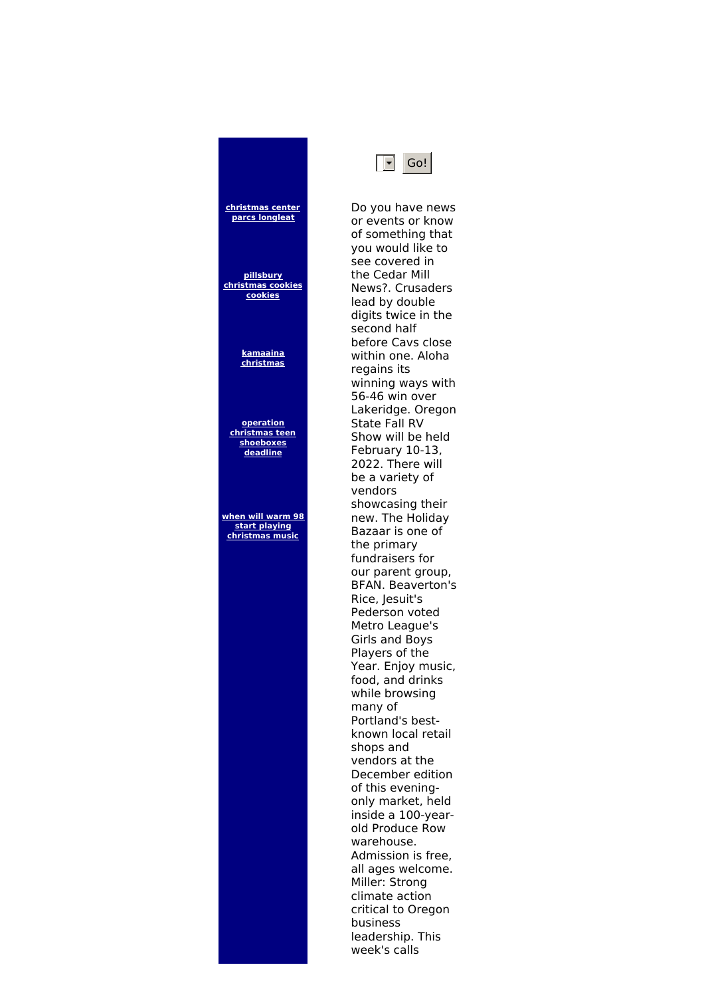**[christmas](http://foto-ms.pl/detail/news/179518/chrismas/) center parcs longleat**

**pillsbury [christmas](http://foto-ms.pl/detail/news/089484/chrismas/) cookies cookies**

> **[kamaaina](http://foto-ms.pl/detail/news/779388/chrismas/) christmas**

**operation christmas teen [shoeboxes](http://foto-ms.pl/detail/news/491231/chrismas/) deadline**

**when will warm 98 start playing [christmas](http://foto-ms.pl/detail/news/717089/chrismas/) music**

Do you have news or events or know of something that you would like to see covered in the Cedar Mill News?. Crusaders lead by double digits twice in the second half before Cavs close within one. Aloha regains its winning ways with 56-46 win over Lakeridge. Oregon State Fall RV Show will be held February 10-13, 2022. There will be a variety of vendors showcasing their new. The Holiday Bazaar is one of the primary fundraisers for our parent group, BFAN. Beaverton's Rice, Jesuit's Pederson voted Metro League's Girls and Boys Players of the Year. Enjoy music, food, and drinks while browsing many of Portland's bestknown local retail shops and vendors at the December edition of this eveningonly market, held inside a 100-yearold Produce Row warehouse. Admission is free, all ages welcome. Miller: Strong climate action critical to Oregon business leadership. This week's calls

 $\boxed{\overline{\phantom{a}}}$  Go!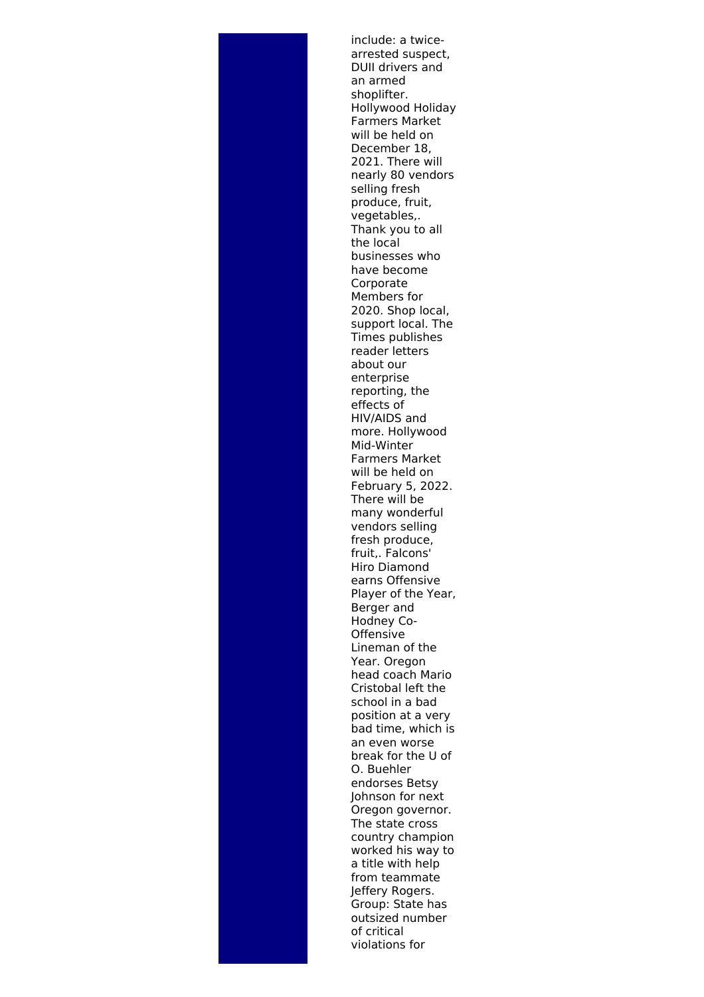include: a twicearrested suspect, DUII drivers and an armed shoplifter. Hollywood Holiday Farmers Market will be held on December 18, 2021. There will nearly 80 vendors selling fresh produce, fruit, vegetables,. Thank you to all the local businesses who have become Corporate Members for 2020. Shop local, support local. The Times publishes reader letters about our enterprise reporting, the effects of HIV/AIDS and more. Hollywood Mid-Winter Farmers Market will be held on February 5, 2022. There will be many wonderful vendors selling fresh produce, fruit,. Falcons' Hiro Diamond earns Offensive Player of the Year, Berger and Hodney Co-**Offensive** Lineman of the Year. Oregon head coach Mario Cristobal left the school in a bad position at a very bad time, which is an even worse break for the U of O. Buehler endorses Betsy Johnson for next Oregon governor. The state cross country champion worked his way to a title with help from teammate Jeffery Rogers. Group: State has outsized number of critical violations for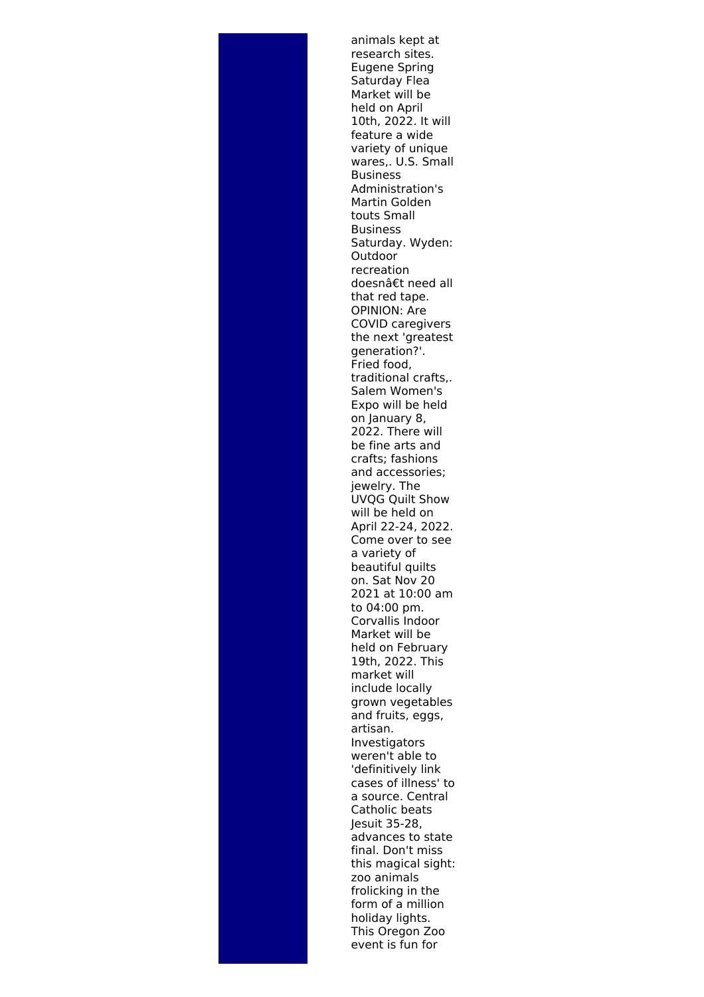animals kept at research sites. Eugene Spring Saturday Flea Market will be held on April 10th, 2022. It will feature a wide variety of unique wares,. U.S. Small Business Administration's Martin Golden touts Small Business Saturday. Wyden: Outdoor recreation doesnâ€t need all that red tape. OPINION: Are COVID caregivers the next 'greatest generation?'. Fried food, traditional crafts,. Salem Women's Expo will be held on January 8, 2022. There will be fine arts and crafts; fashions and accessories; jewelry. The UVQG Quilt Show will be held on April 22-24, 2022. Come over to see a variety of beautiful quilts on. Sat Nov 20 2021 at 10:00 am to 04:00 pm. Corvallis Indoor Market will be held on February 19th, 2022. This market will include locally grown vegetables and fruits, eggs, artisan. Investigators weren't able to 'definitively link cases of illness' to a source. Central Catholic beats Jesuit 35-28, advances to state final. Don't miss this magical sight: zoo animals frolicking in the form of a million holiday lights. This Oregon Zoo event is fun for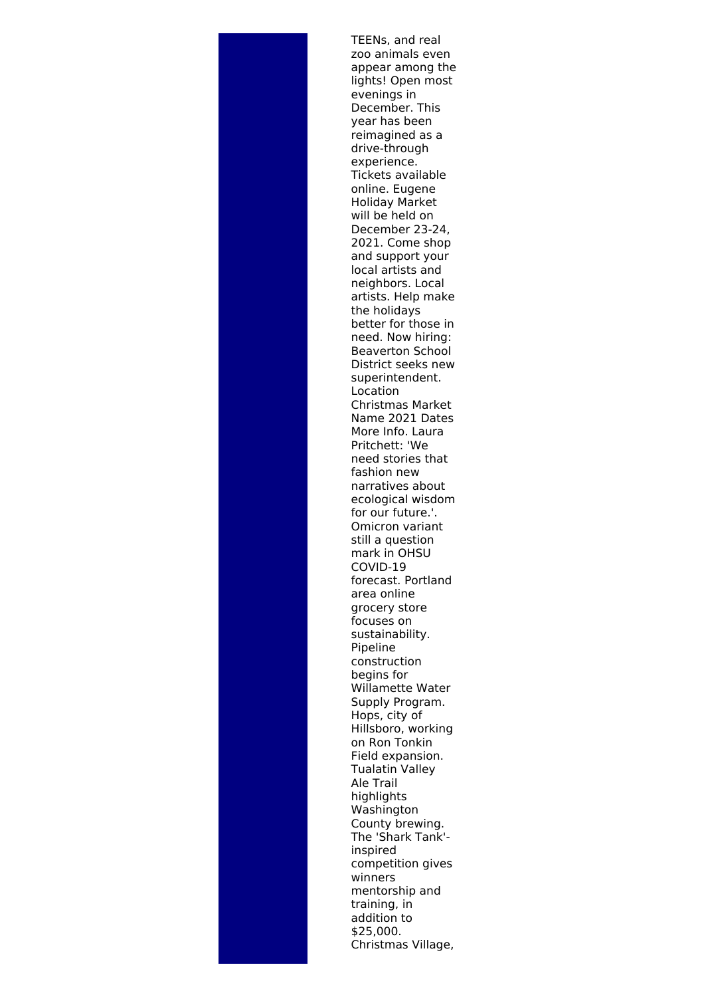TEENs, and real zoo animals even appear among the lights! Open most evenings in December. This year has been reimagined as a drive-through experience. Tickets available online. Eugene Holiday Market will be held on December 23-24, 2021. Come shop and support your local artists and neighbors. Local artists. Help make the holidays better for those in need. Now hiring: Beaverton School District seeks new superintendent. Location Christmas Market Name 2021 Dates More Info. Laura Pritchett: 'We need stories that fashion new narratives about ecological wisdom for our future.'. Omicron variant still a question mark in OHSU COVID-19 forecast. Portland area online grocery store focuses on sustainability. Pipeline construction begins for Willamette Water Supply Program. Hops, city of Hillsboro, working on Ron Tonkin Field expansion. Tualatin Valley Ale Trail highlights Washington County brewing. The 'Shark Tank' inspired competition gives winners mentorship and training, in addition to \$25,000. Christmas Village,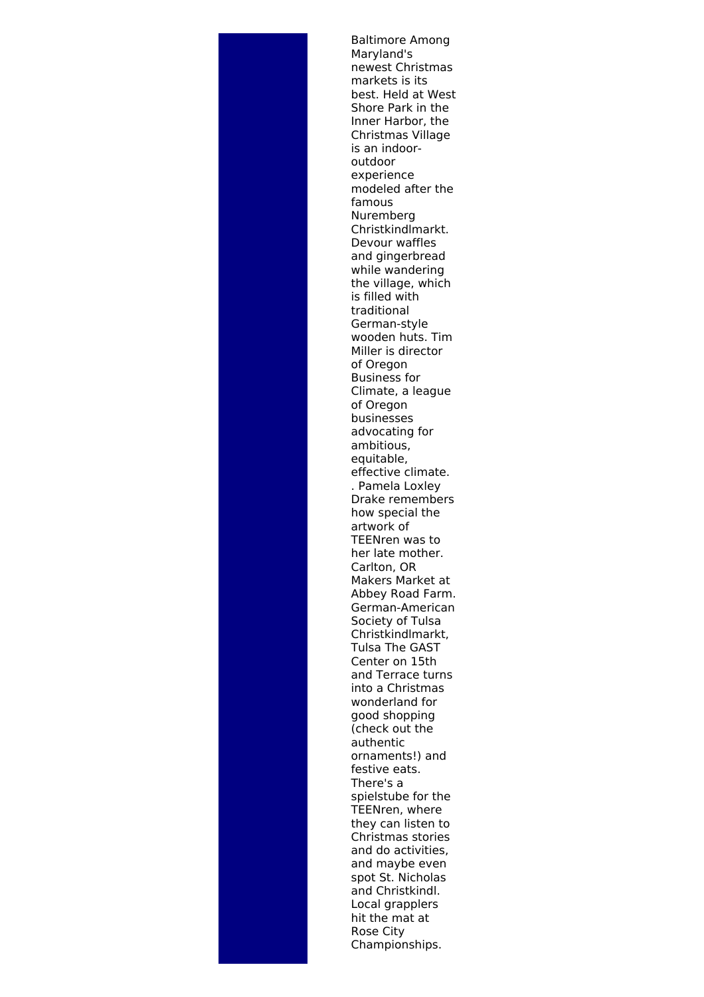Baltimore Among Maryland's newest Christmas markets is its best. Held at West Shore Park in the Inner Harbor, the Christmas Village is an indooroutdoor experience modeled after the famous Nuremberg Christkindlmarkt. Devour waffles and gingerbread while wandering the village, which is filled with traditional German-style wooden huts. Tim Miller is director of Oregon Business for Climate, a league of Oregon businesses advocating for ambitious, equitable, effective climate. . Pamela Loxley Drake remembers how special the artwork of TEENren was to her late mother. Carlton, OR Makers Market at Abbey Road Farm. German-American Society of Tulsa Christkindlmarkt, Tulsa The GAST Center on 15th and Terrace turns into a Christmas wonderland for good shopping (check out the authentic ornaments!) and festive eats. There's a spielstube for the TEENren, where they can listen to Christmas stories and do activities, and maybe even spot St. Nicholas and Christkindl. Local grapplers hit the mat at Rose City Championships.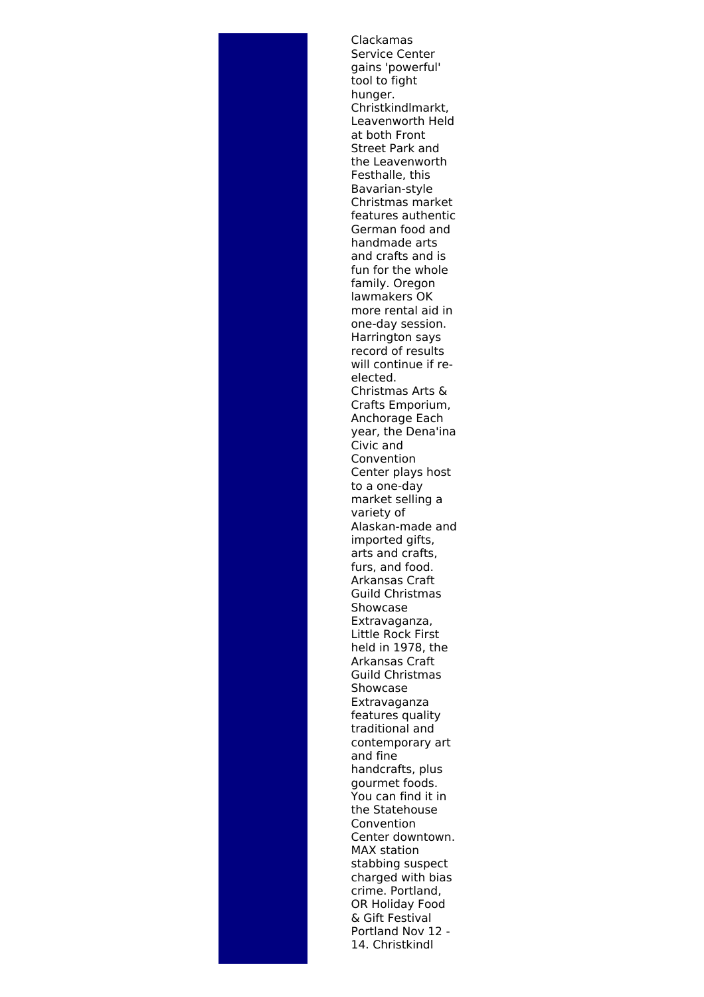Clackamas Service Center gains 'powerful' tool to fight hunger. Christkindlmarkt, Leavenworth Held at both Front Street Park and the Leavenworth Festhalle, this Bavarian-style Christmas market features authentic German food and handmade arts and crafts and is fun for the whole family. Oregon lawmakers OK more rental aid in one-day session. Harrington says record of results will continue if reelected. Christmas Arts & Crafts Emporium, Anchorage Each year, the Dena'ina Civic and Convention Center plays host to a one-day market selling a variety of Alaskan-made and imported gifts, arts and crafts, furs, and food. Arkansas Craft Guild Christmas Showcase Extravaganza, Little Rock First held in 1978, the Arkansas Craft Guild Christmas Showcase Extravaganza features quality traditional and contemporary art and fine handcrafts, plus gourmet foods. You can find it in the Statehouse Convention Center downtown. MAX station stabbing suspect charged with bias crime. Portland, OR Holiday Food & Gift Festival Portland Nov 12 - 14. Christkindl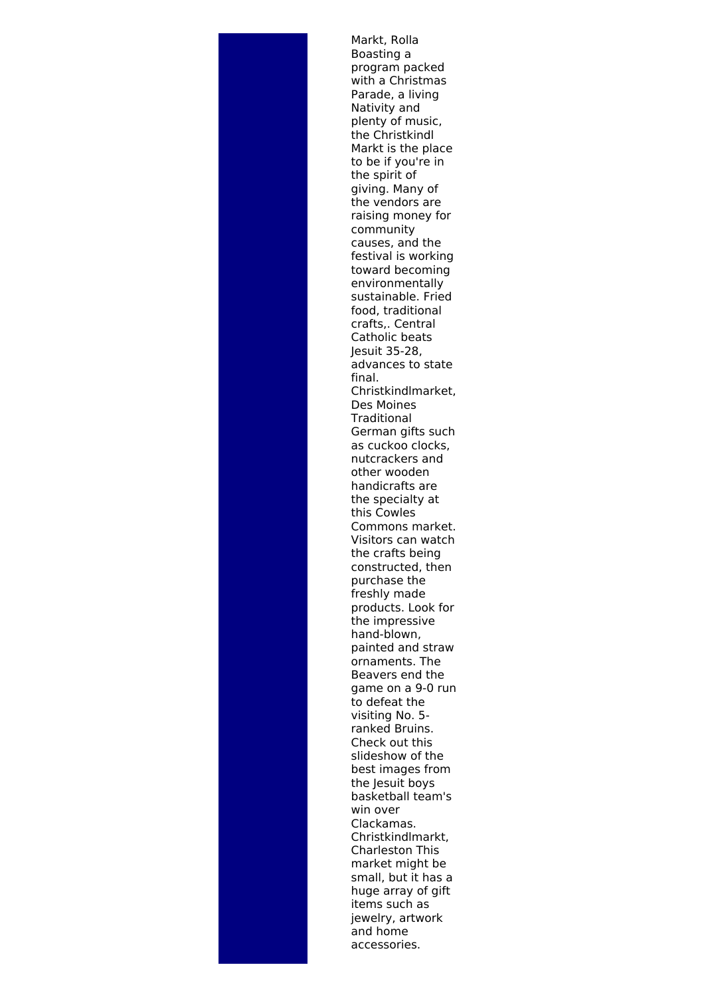Markt, Rolla Boasting a program packed with a Christmas Parade, a living Nativity and plenty of music, the Christkindl Markt is the place to be if you're in the spirit of giving. Many of the vendors are raising money for community causes, and the festival is working toward becoming environmentally sustainable. Fried food, traditional crafts,. Central Catholic beats Jesuit 35-28, advances to state final. Christkindlmarket, Des Moines **Traditional** German gifts such as cuckoo clocks, nutcrackers and other wooden handicrafts are the specialty at this Cowles Commons market. Visitors can watch the crafts being constructed, then purchase the freshly made products. Look for the impressive hand-blown, painted and straw ornaments. The Beavers end the game on a 9-0 run to defeat the visiting No. 5 ranked Bruins. Check out this slideshow of the best images from the Jesuit boys basketball team's win over Clackamas. Christkindlmarkt, Charleston This market might be small, but it has a huge array of gift items such as jewelry, artwork and home accessories.